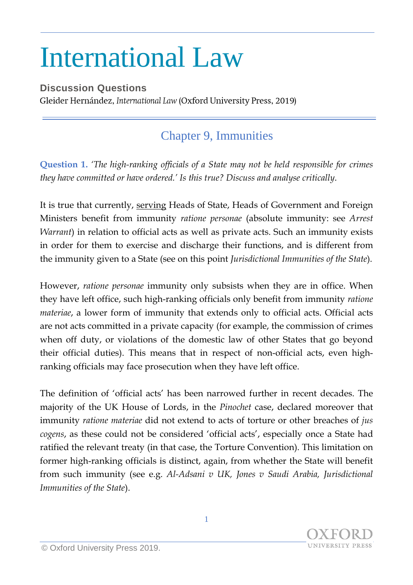## International Law

**Discussion Questions** Gleider Hernández, International Law (Oxford University Press, 2019)

## Chapter 9, Immunities

**Question 1.** *'The high-ranking officials of a State may not be held responsible for crimes they have committed or have ordered.' Is this true? Discuss and analyse critically*.

It is true that currently, serving Heads of State, Heads of Government and Foreign Ministers benefit from immunity *ratione personae* (absolute immunity: see *Arrest Warrant*) in relation to official acts as well as private acts. Such an immunity exists in order for them to exercise and discharge their functions, and is different from the immunity given to a State (see on this point *Jurisdictional Immunities of the State*).

However, *ratione personae* immunity only subsists when they are in office. When they have left office, such high-ranking officials only benefit from immunity *ratione materiae*, a lower form of immunity that extends only to official acts. Official acts are not acts committed in a private capacity (for example, the commission of crimes when off duty, or violations of the domestic law of other States that go beyond their official duties). This means that in respect of non-official acts, even highranking officials may face prosecution when they have left office.

The definition of 'official acts' has been narrowed further in recent decades. The majority of the UK House of Lords, in the *Pinochet* case, declared moreover that immunity *ratione materiae* did not extend to acts of torture or other breaches of *jus cogens*, as these could not be considered 'official acts', especially once a State had ratified the relevant treaty (in that case, the Torture Convention). This limitation on former high-ranking officials is distinct, again, from whether the State will benefit from such immunity (see e.g. *Al-Adsani v UK, Jones v Saudi Arabia, Jurisdictional Immunities of the State*).

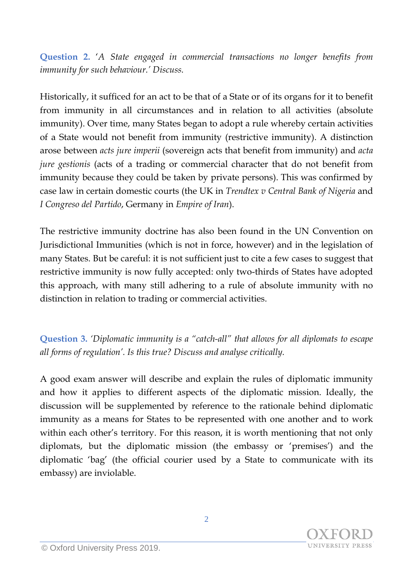**Question 2.** '*A State engaged in commercial transactions no longer benefits from immunity for such behaviour.' Discuss.*

Historically, it sufficed for an act to be that of a State or of its organs for it to benefit from immunity in all circumstances and in relation to all activities (absolute immunity). Over time, many States began to adopt a rule whereby certain activities of a State would not benefit from immunity (restrictive immunity). A distinction arose between *acts jure imperii* (sovereign acts that benefit from immunity) and *acta jure gestionis* (acts of a trading or commercial character that do not benefit from immunity because they could be taken by private persons). This was confirmed by case law in certain domestic courts (the UK in *Trendtex v Central Bank of Nigeria* and *I Congreso del Partido*, Germany in *Empire of Iran*).

The restrictive immunity doctrine has also been found in the UN Convention on Jurisdictional Immunities (which is not in force, however) and in the legislation of many States. But be careful: it is not sufficient just to cite a few cases to suggest that restrictive immunity is now fully accepted: only two-thirds of States have adopted this approach, with many still adhering to a rule of absolute immunity with no distinction in relation to trading or commercial activities.

**Question 3.** *'Diplomatic immunity is a "catch-all" that allows for all diplomats to escape all forms of regulation'. Is this true? Discuss and analyse critically.* 

A good exam answer will describe and explain the rules of diplomatic immunity and how it applies to different aspects of the diplomatic mission. Ideally, the discussion will be supplemented by reference to the rationale behind diplomatic immunity as a means for States to be represented with one another and to work within each other's territory. For this reason, it is worth mentioning that not only diplomats, but the diplomatic mission (the embassy or 'premises') and the diplomatic 'bag' (the official courier used by a State to communicate with its embassy) are inviolable.